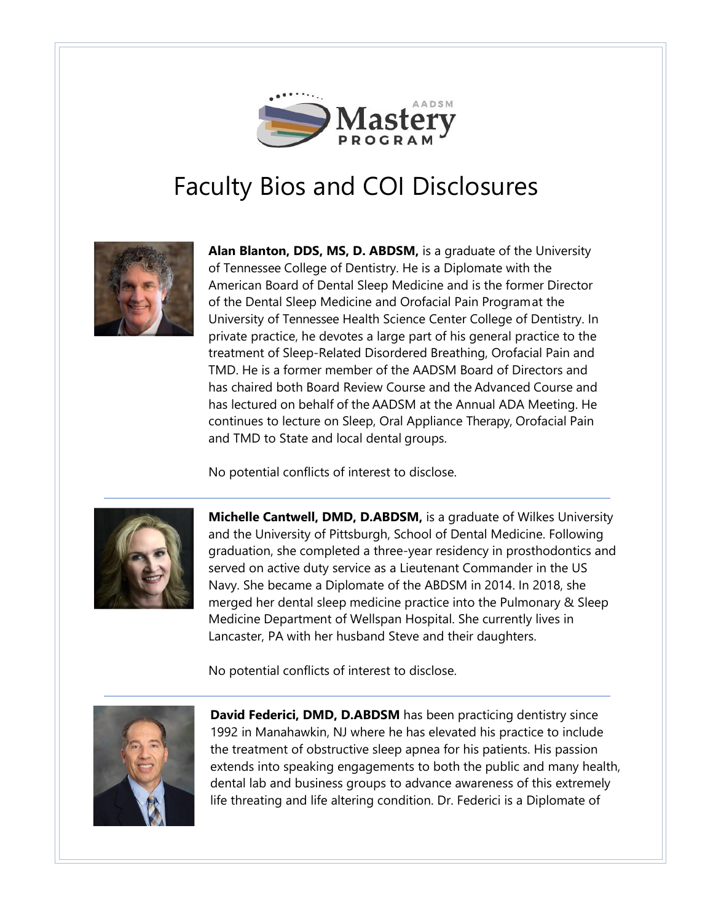

## Faculty Bios and COI Disclosures



**Alan Blanton, DDS, MS, D. ABDSM,** is a graduate of the University of Tennessee College of Dentistry. He is a Diplomate with the American Board of Dental Sleep Medicine and is the former Director of the Dental Sleep Medicine and Orofacial Pain Programat the University of Tennessee Health Science Center College of Dentistry. In private practice, he devotes a large part of his general practice to the treatment of Sleep-Related Disordered Breathing, Orofacial Pain and TMD. He is a former member of the AADSM Board of Directors and has chaired both Board Review Course and the Advanced Course and has lectured on behalf of the AADSM at the Annual ADA Meeting. He continues to lecture on Sleep, Oral Appliance Therapy, Orofacial Pain and TMD to State and local dental groups.

No potential conflicts of interest to disclose.



**Michelle Cantwell, DMD, D.ABDSM,** is a graduate of Wilkes University and the University of Pittsburgh, School of Dental Medicine. Following graduation, she completed a three-year residency in prosthodontics and served on active duty service as a Lieutenant Commander in the US Navy. She became a Diplomate of the ABDSM in 2014. In 2018, she merged her dental sleep medicine practice into the Pulmonary & Sleep Medicine Department of Wellspan Hospital. She currently lives in Lancaster, PA with her husband Steve and their daughters.

No potential conflicts of interest to disclose.



**David Federici, DMD, D.ABDSM** has been practicing dentistry since 1992 in Manahawkin, NJ where he has elevated his practice to include the treatment of obstructive sleep apnea for his patients. His passion extends into speaking engagements to both the public and many health, dental lab and business groups to advance awareness of this extremely life threating and life altering condition. Dr. Federici is a Diplomate of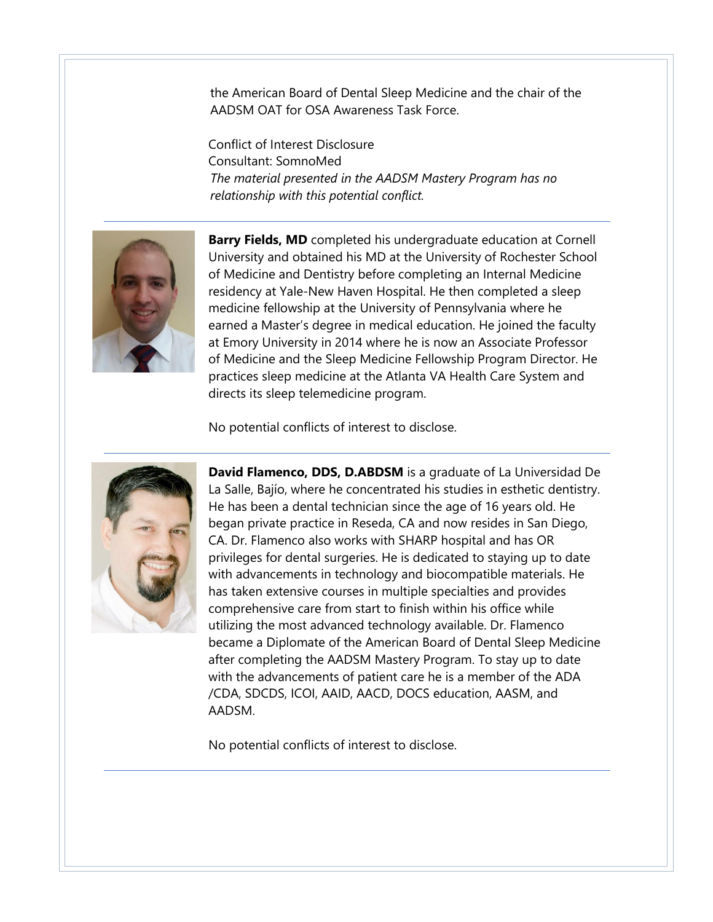the American Board of Dental Sleep Medicine and the chair of the AADSM OAT for OSA Awareness Task Force.

Conflict of Interest Disclosure Consultant: SomnoMed *The material presented in the AADSM Mastery Program has no relationship with this potential conflict.*



**Barry Fields, MD** completed his undergraduate education at Cornell University and obtained his MD at the University of Rochester School of Medicine and Dentistry before completing an Internal Medicine residency at Yale-New Haven Hospital. He then completed a sleep medicine fellowship at the University of Pennsylvania where he earned a Master's degree in medical education. He joined the faculty at Emory University in 2014 where he is now an Associate Professor of Medicine and the Sleep Medicine Fellowship Program Director. He practices sleep medicine at the Atlanta VA Health Care System and directs its sleep telemedicine program.

No potential conflicts of interest to disclose.



**David Flamenco, DDS, D.ABDSM** is a graduate of La Universidad De La Salle, Bajío, where he concentrated his studies in esthetic dentistry. He has been a dental technician since the age of 16 years old. He began private practice in Reseda, CA and now resides in San Diego, CA. Dr. Flamenco also works with SHARP hospital and has OR privileges for dental surgeries. He is dedicated to staying up to date with advancements in technology and biocompatible materials. He has taken extensive courses in multiple specialties and provides comprehensive care from start to finish within his office while utilizing the most advanced technology available. Dr. Flamenco became a Diplomate of the American Board of Dental Sleep Medicine after completing the AADSM Mastery Program. To stay up to date with the advancements of patient care he is a member of the ADA /CDA, SDCDS, ICOI, AAID, AACD, DOCS education, AASM, and AADSM.

No potential conflicts of interest to disclose.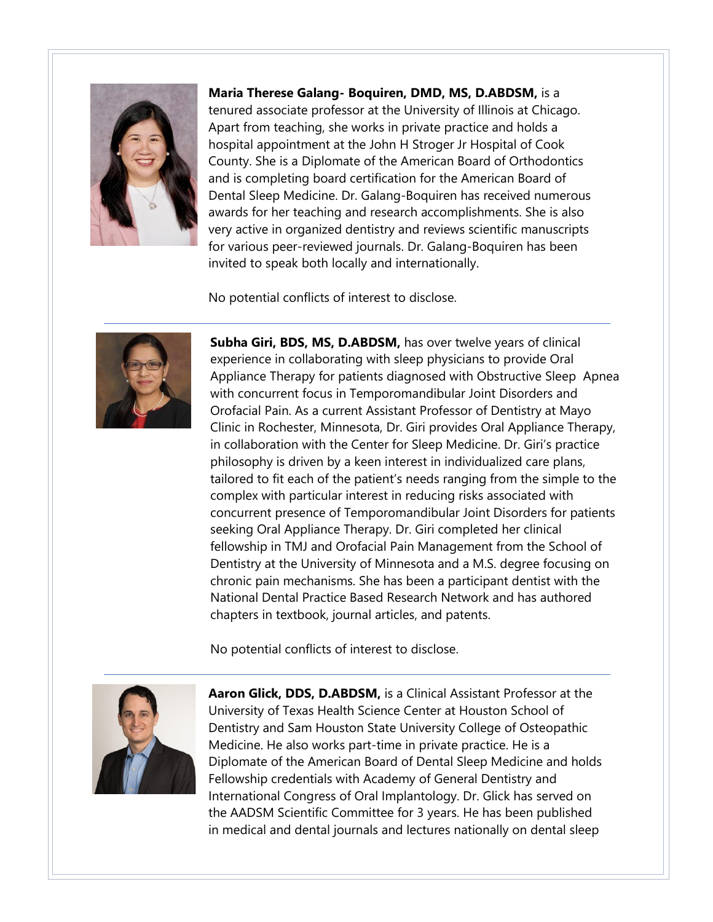

**Maria Therese Galang- Boquiren, DMD, MS, D.ABDSM,** is a

tenured associate professor at the University of Illinois at Chicago. Apart from teaching, she works in private practice and holds a hospital appointment at the John H Stroger Jr Hospital of Cook County. She is a Diplomate of the American Board of Orthodontics and is completing board certification for the American Board of Dental Sleep Medicine. Dr. Galang-Boquiren has received numerous awards for her teaching and research accomplishments. She is also very active in organized dentistry and reviews scientific manuscripts for various peer-reviewed journals. Dr. Galang-Boquiren has been invited to speak both locally and internationally.

No potential conflicts of interest to disclose.



**Subha Giri, BDS, MS, D.ABDSM,** has over twelve years of clinical experience in collaborating with sleep physicians to provide Oral Appliance Therapy for patients diagnosed with Obstructive Sleep Apnea with concurrent focus in Temporomandibular Joint Disorders and Orofacial Pain. As a current Assistant Professor of Dentistry at Mayo Clinic in Rochester, Minnesota, Dr. Giri provides Oral Appliance Therapy, in collaboration with the Center for Sleep Medicine. Dr. Giri's practice philosophy is driven by a keen interest in individualized care plans, tailored to fit each of the patient's needs ranging from the simple to the complex with particular interest in reducing risks associated with concurrent presence of Temporomandibular Joint Disorders for patients seeking Oral Appliance Therapy. Dr. Giri completed her clinical fellowship in TMJ and Orofacial Pain Management from the School of Dentistry at the University of Minnesota and a M.S. degree focusing on chronic pain mechanisms. She has been a participant dentist with the National Dental Practice Based Research Network and has authored chapters in textbook, journal articles, and patents.

No potential conflicts of interest to disclose.



**Aaron Glick, DDS, D.ABDSM,** is a Clinical Assistant Professor at the University of Texas Health Science Center at Houston School of Dentistry and Sam Houston State University College of Osteopathic Medicine. He also works part-time in private practice. He is a Diplomate of the American Board of Dental Sleep Medicine and holds Fellowship credentials with Academy of General Dentistry and International Congress of Oral Implantology. Dr. Glick has served on the AADSM Scientific Committee for 3 years. He has been published in medical and dental journals and lectures nationally on dental sleep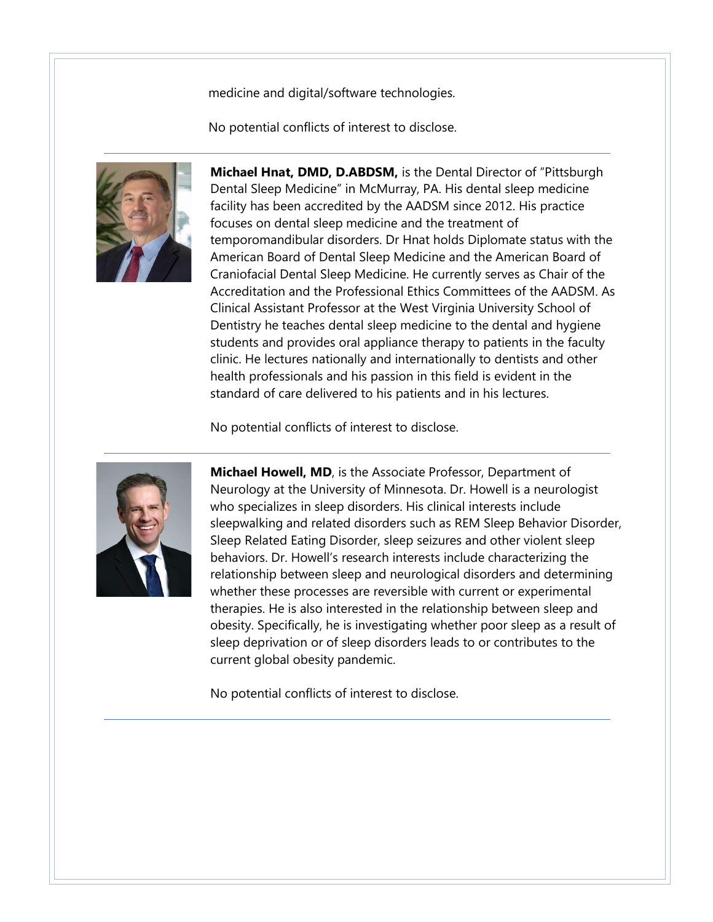medicine and digital/software technologies.

No potential conflicts of interest to disclose.



**Michael Hnat, DMD, D.ABDSM,** is the Dental Director of "Pittsburgh Dental Sleep Medicine" in McMurray, PA. His dental sleep medicine facility has been accredited by the AADSM since 2012. His practice focuses on dental sleep medicine and the treatment of temporomandibular disorders. Dr Hnat holds Diplomate status with the American Board of Dental Sleep Medicine and the American Board of Craniofacial Dental Sleep Medicine. He currently serves as Chair of the Accreditation and the Professional Ethics Committees of the AADSM. As Clinical Assistant Professor at the West Virginia University School of Dentistry he teaches dental sleep medicine to the dental and hygiene students and provides oral appliance therapy to patients in the faculty clinic. He lectures nationally and internationally to dentists and other health professionals and his passion in this field is evident in the standard of care delivered to his patients and in his lectures.

No potential conflicts of interest to disclose.



**Michael Howell, MD**, is the Associate Professor, Department of Neurology at the University of Minnesota. Dr. Howell is a neurologist who specializes in sleep disorders. His clinical interests include sleepwalking and related disorders such as REM Sleep Behavior Disorder, Sleep Related Eating Disorder, sleep seizures and other violent sleep behaviors. Dr. Howell's research interests include characterizing the relationship between sleep and neurological disorders and determining whether these processes are reversible with current or experimental therapies. He is also interested in the relationship between sleep and obesity. Specifically, he is investigating whether poor sleep as a result of sleep deprivation or of sleep disorders leads to or contributes to the current global obesity pandemic.

No potential conflicts of interest to disclose.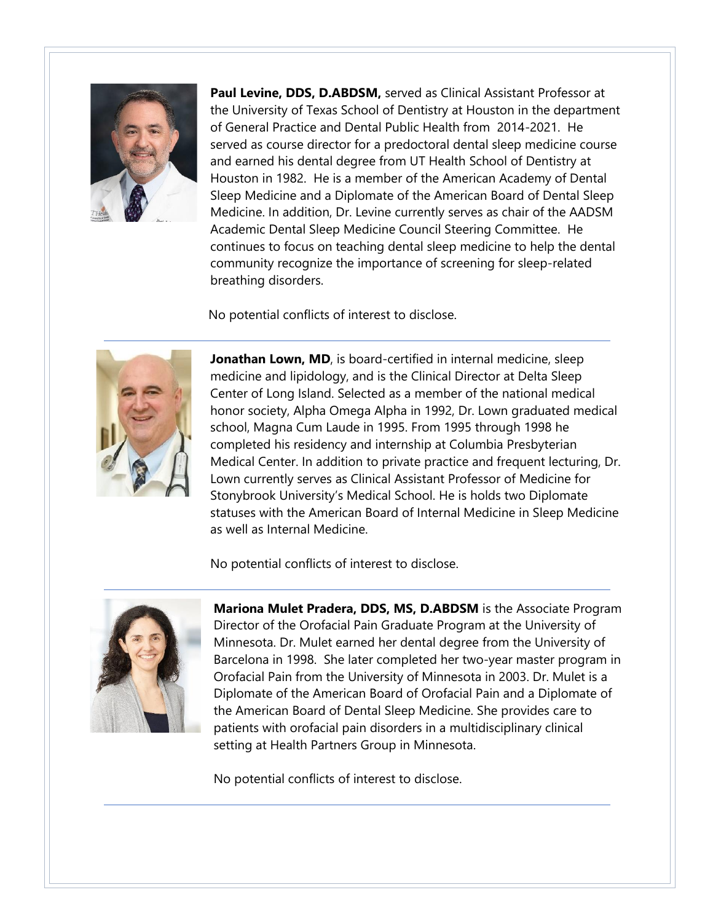

**Paul Levine, DDS, D.ABDSM,** served as Clinical Assistant Professor at the University of Texas School of Dentistry at Houston in the department of General Practice and Dental Public Health from 2014-2021. He served as course director for a predoctoral dental sleep medicine course and earned his dental degree from UT Health School of Dentistry at Houston in 1982. He is a member of the American Academy of Dental Sleep Medicine and a Diplomate of the American Board of Dental Sleep Medicine. In addition, Dr. Levine currently serves as chair of the AADSM Academic Dental Sleep Medicine Council Steering Committee. He continues to focus on teaching dental sleep medicine to help the dental community recognize the importance of screening for sleep-related breathing disorders.

No potential conflicts of interest to disclose.



**Jonathan Lown, MD**, is board-certified in internal medicine, sleep medicine and lipidology, and is the Clinical Director at Delta Sleep Center of Long Island. Selected as a member of the national medical honor society, Alpha Omega Alpha in 1992, Dr. Lown graduated medical school, Magna Cum Laude in 1995. From 1995 through 1998 he completed his residency and internship at Columbia Presbyterian Medical Center. In addition to private practice and frequent lecturing, Dr. Lown currently serves as Clinical Assistant Professor of Medicine for Stonybrook University's Medical School. He is holds two Diplomate statuses with the American Board of Internal Medicine in Sleep Medicine as well as Internal Medicine.

No potential conflicts of interest to disclose.



**Mariona Mulet Pradera, DDS, MS, D.ABDSM** is the Associate Program Director of the Orofacial Pain Graduate Program at the University of Minnesota. Dr. Mulet earned her dental degree from the University of Barcelona in 1998. She later completed her two-year master program in Orofacial Pain from the University of Minnesota in 2003. Dr. Mulet is a Diplomate of the American Board of Orofacial Pain and a Diplomate of the American Board of Dental Sleep Medicine. She provides care to patients with orofacial pain disorders in a multidisciplinary clinical setting at Health Partners Group in Minnesota.

No potential conflicts of interest to disclose.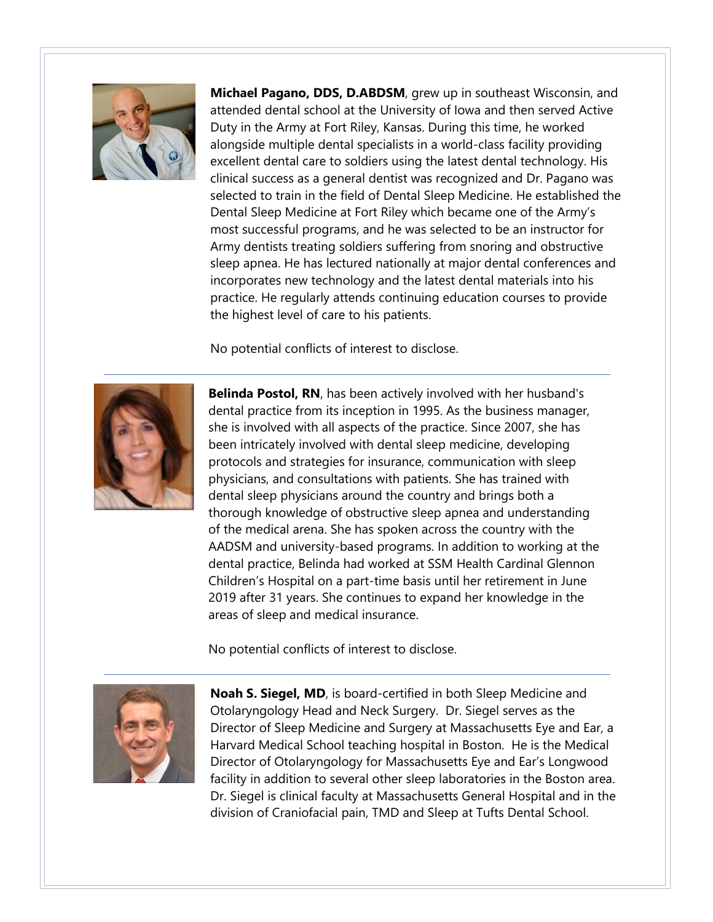

**Michael Pagano, DDS, D.ABDSM**, grew up in southeast Wisconsin, and attended dental school at the University of Iowa and then served Active Duty in the Army at Fort Riley, Kansas. During this time, he worked alongside multiple dental specialists in a world-class facility providing excellent dental care to soldiers using the latest dental technology. His clinical success as a general dentist was recognized and Dr. Pagano was selected to train in the field of Dental Sleep Medicine. He established the Dental Sleep Medicine at Fort Riley which became one of the Army's most successful programs, and he was selected to be an instructor for Army dentists treating soldiers suffering from snoring and obstructive sleep apnea. He has lectured nationally at major dental conferences and incorporates new technology and the latest dental materials into his practice. He regularly attends continuing education courses to provide the highest level of care to his patients.

No potential conflicts of interest to disclose.



**Belinda Postol, RN**, has been actively involved with her husband's dental practice from its inception in 1995. As the business manager, she is involved with all aspects of the practice. Since 2007, she has been intricately involved with dental sleep medicine, developing protocols and strategies for insurance, communication with sleep physicians, and consultations with patients. She has trained with dental sleep physicians around the country and brings both a thorough knowledge of obstructive sleep apnea and understanding of the medical arena. She has spoken across the country with the AADSM and university-based programs. In addition to working at the dental practice, Belinda had worked at SSM Health Cardinal Glennon Children's Hospital on a part-time basis until her retirement in June 2019 after 31 years. She continues to expand her knowledge in the areas of sleep and medical insurance.

No potential conflicts of interest to disclose.



**Noah S. Siegel, MD**, is board-certified in both Sleep Medicine and Otolaryngology Head and Neck Surgery. Dr. Siegel serves as the Director of Sleep Medicine and Surgery at Massachusetts Eye and Ear, a Harvard Medical School teaching hospital in Boston. He is the Medical Director of Otolaryngology for Massachusetts Eye and Ear's Longwood facility in addition to several other sleep laboratories in the Boston area. Dr. Siegel is clinical faculty at Massachusetts General Hospital and in the division of Craniofacial pain, TMD and Sleep at Tufts Dental School.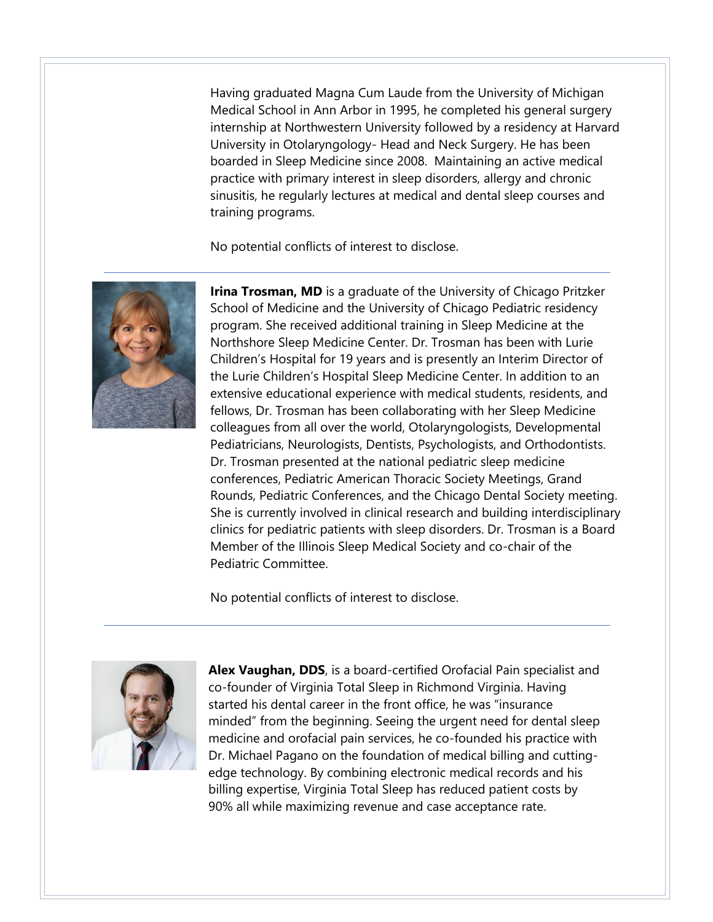Having graduated Magna Cum Laude from the University of Michigan Medical School in Ann Arbor in 1995, he completed his general surgery internship at Northwestern University followed by a residency at Harvard University in Otolaryngology- Head and Neck Surgery. He has been boarded in Sleep Medicine since 2008. Maintaining an active medical practice with primary interest in sleep disorders, allergy and chronic sinusitis, he regularly lectures at medical and dental sleep courses and training programs.

No potential conflicts of interest to disclose.



**Irina Trosman, MD** is a graduate of the University of Chicago Pritzker School of Medicine and the University of Chicago Pediatric residency program. She received additional training in Sleep Medicine at the Northshore Sleep Medicine Center. Dr. Trosman has been with Lurie Children's Hospital for 19 years and is presently an Interim Director of the Lurie Children's Hospital Sleep Medicine Center. In addition to an extensive educational experience with medical students, residents, and fellows, Dr. Trosman has been collaborating with her Sleep Medicine colleagues from all over the world, Otolaryngologists, Developmental Pediatricians, Neurologists, Dentists, Psychologists, and Orthodontists. Dr. Trosman presented at the national pediatric sleep medicine conferences, Pediatric American Thoracic Society Meetings, Grand Rounds, Pediatric Conferences, and the Chicago Dental Society meeting. She is currently involved in clinical research and building interdisciplinary clinics for pediatric patients with sleep disorders. Dr. Trosman is a Board Member of the Illinois Sleep Medical Society and co-chair of the Pediatric Committee.

No potential conflicts of interest to disclose.



**Alex Vaughan, DDS**, is a board-certified Orofacial Pain specialist and co-founder of Virginia Total Sleep in Richmond Virginia. Having started his dental career in the front office, he was "insurance minded" from the beginning. Seeing the urgent need for dental sleep medicine and orofacial pain services, he co-founded his practice with Dr. Michael Pagano on the foundation of medical billing and cuttingedge technology. By combining electronic medical records and his billing expertise, Virginia Total Sleep has reduced patient costs by 90% all while maximizing revenue and case acceptance rate.